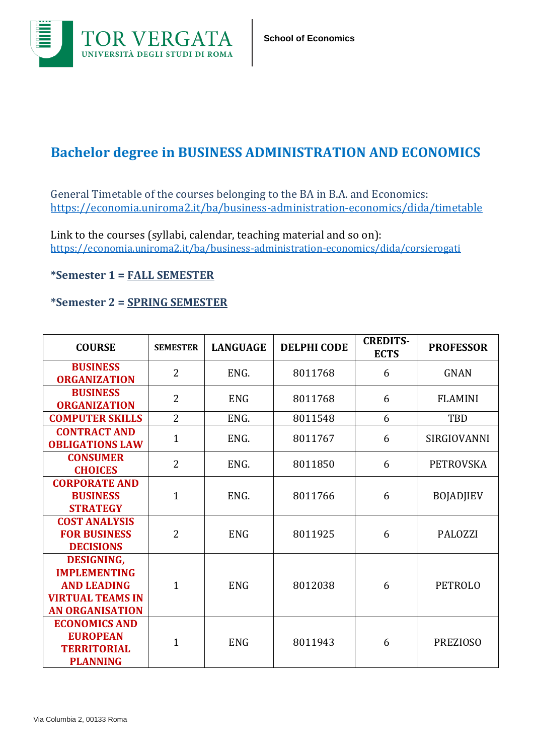

## **Bachelor degree in BUSINESS ADMINISTRATION AND ECONOMICS**

General Timetable of the courses belonging to the BA in B.A. and Economics: <https://economia.uniroma2.it/ba/business-administration-economics/dida/timetable>

Link to the courses (syllabi, calendar, teaching material and so on): <https://economia.uniroma2.it/ba/business-administration-economics/dida/corsierogati>

## **\*Semester 1 = FALL SEMESTER**

## **\*Semester 2 = SPRING SEMESTER**

| <b>COURSE</b>                                                                                                       | <b>SEMESTER</b> | <b>LANGUAGE</b> | <b>DELPHI CODE</b> | <b>CREDITS-</b><br><b>ECTS</b> | <b>PROFESSOR</b> |
|---------------------------------------------------------------------------------------------------------------------|-----------------|-----------------|--------------------|--------------------------------|------------------|
| <b>BUSINESS</b><br><b>ORGANIZATION</b>                                                                              | $\overline{2}$  | ENG.            | 8011768            | 6                              | <b>GNAN</b>      |
| <b>BUSINESS</b><br><b>ORGANIZATION</b>                                                                              | $\overline{2}$  | <b>ENG</b>      | 8011768            | 6                              | <b>FLAMINI</b>   |
| <b>COMPUTER SKILLS</b>                                                                                              | $\overline{2}$  | ENG.            | 8011548            | 6                              | TBD              |
| <b>CONTRACT AND</b><br><b>OBLIGATIONS LAW</b>                                                                       | $\mathbf{1}$    | ENG.            | 8011767            | 6                              | SIRGIOVANNI      |
| <b>CONSUMER</b><br><b>CHOICES</b>                                                                                   | $\overline{2}$  | ENG.            | 8011850            | 6                              | <b>PETROVSKA</b> |
| <b>CORPORATE AND</b><br><b>BUSINESS</b><br><b>STRATEGY</b>                                                          | $\mathbf{1}$    | ENG.            | 8011766            | 6                              | <b>BOJADJIEV</b> |
| <b>COST ANALYSIS</b><br><b>FOR BUSINESS</b><br><b>DECISIONS</b>                                                     | $\overline{2}$  | <b>ENG</b>      | 8011925            | 6                              | <b>PALOZZI</b>   |
| <b>DESIGNING,</b><br><b>IMPLEMENTING</b><br><b>AND LEADING</b><br><b>VIRTUAL TEAMS IN</b><br><b>AN ORGANISATION</b> | $\mathbf{1}$    | <b>ENG</b>      | 8012038            | 6                              | <b>PETROLO</b>   |
| <b>ECONOMICS AND</b><br><b>EUROPEAN</b><br><b>TERRITORIAL</b><br><b>PLANNING</b>                                    | $\mathbf{1}$    | <b>ENG</b>      | 8011943            | 6                              | <b>PREZIOSO</b>  |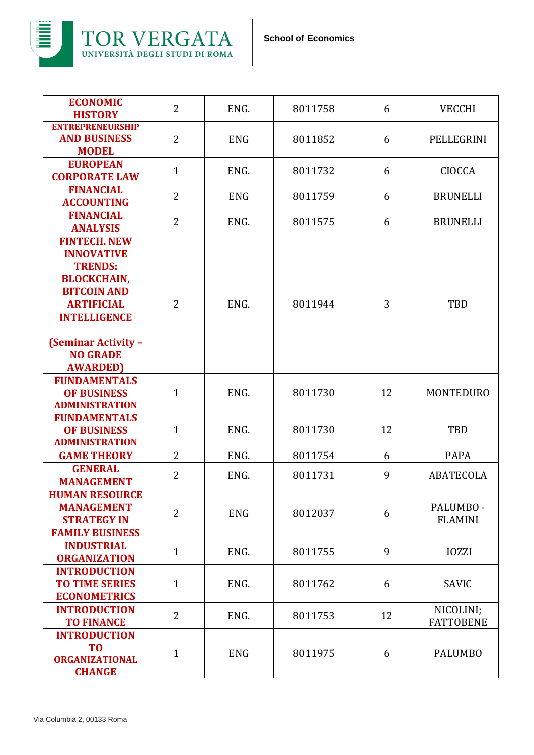

| <b>ECONOMIC</b><br><b>HISTORY</b>                                                                                                                                                                                      | $\overline{2}$ | ENG.       | 8011758 | 6  | <b>VECCHI</b>                 |
|------------------------------------------------------------------------------------------------------------------------------------------------------------------------------------------------------------------------|----------------|------------|---------|----|-------------------------------|
| <b>ENTREPRENEURSHIP</b><br><b>AND BUSINESS</b><br><b>MODEL</b>                                                                                                                                                         | $\overline{2}$ | <b>ENG</b> | 8011852 | 6  | PELLEGRINI                    |
| <b>EUROPEAN</b><br><b>CORPORATE LAW</b>                                                                                                                                                                                | $\mathbf{1}$   | ENG.       | 8011732 | 6  | <b>CIOCCA</b>                 |
| <b>FINANCIAL</b><br><b>ACCOUNTING</b>                                                                                                                                                                                  | $\overline{2}$ | <b>ENG</b> | 8011759 | 6  | <b>BRUNELLI</b>               |
| <b>FINANCIAL</b><br><b>ANALYSIS</b>                                                                                                                                                                                    | $\overline{2}$ | ENG.       | 8011575 | 6  | <b>BRUNELLI</b>               |
| <b>FINTECH. NEW</b><br><b>INNOVATIVE</b><br><b>TRENDS:</b><br><b>BLOCKCHAIN,</b><br><b>BITCOIN AND</b><br><b>ARTIFICIAL</b><br><b>INTELLIGENCE</b><br><b>(Seminar Activity -</b><br><b>NO GRADE</b><br><b>AWARDED)</b> | $\overline{2}$ | ENG.       | 8011944 | 3  | TBD                           |
| <b>FUNDAMENTALS</b><br><b>OF BUSINESS</b><br><b>ADMINISTRATION</b>                                                                                                                                                     | $\mathbf{1}$   | ENG.       | 8011730 | 12 | <b>MONTEDURO</b>              |
| <b>FUNDAMENTALS</b><br><b>OF BUSINESS</b><br><b>ADMINISTRATION</b>                                                                                                                                                     | $\mathbf{1}$   | ENG.       | 8011730 | 12 | TBD                           |
| <b>GAME THEORY</b>                                                                                                                                                                                                     | $\overline{2}$ | ENG.       | 8011754 | 6  | <b>PAPA</b>                   |
| <b>GENERAL</b><br><b>MANAGEMENT</b>                                                                                                                                                                                    | $\overline{2}$ | ENG.       | 8011731 | 9  | <b>ABATECOLA</b>              |
| <b>HUMAN RESOURCE</b><br><b>MANAGEMENT</b><br><b>STRATEGY IN</b><br><b>FAMILY BUSINESS</b>                                                                                                                             | $\overline{2}$ | <b>ENG</b> | 8012037 | 6  | PALUMBO -<br><b>FLAMINI</b>   |
| <b>INDUSTRIAL</b><br><b>ORGANIZATION</b>                                                                                                                                                                               | $\mathbf{1}$   | ENG.       | 8011755 | 9  | <b>IOZZI</b>                  |
| <b>INTRODUCTION</b><br><b>TO TIME SERIES</b><br><b>ECONOMETRICS</b>                                                                                                                                                    | $\mathbf{1}$   | ENG.       | 8011762 | 6  | SAVIC                         |
| <b>INTRODUCTION</b><br><b>TO FINANCE</b>                                                                                                                                                                               | $\overline{2}$ | ENG.       | 8011753 | 12 | NICOLINI;<br><b>FATTOBENE</b> |
| <b>INTRODUCTION</b><br>T <sub>0</sub><br><b>ORGANIZATIONAL</b><br><b>CHANGE</b>                                                                                                                                        | $\mathbf{1}$   | <b>ENG</b> | 8011975 | 6  | <b>PALUMBO</b>                |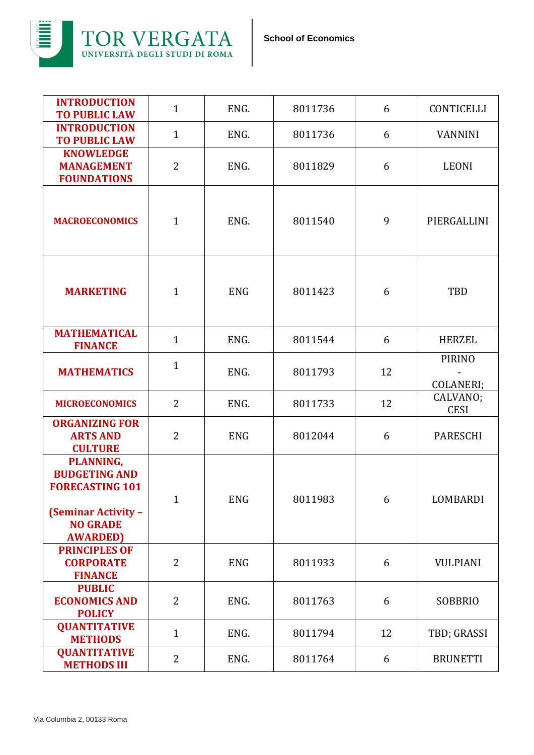

| <b>INTRODUCTION</b><br><b>TO PUBLIC LAW</b>                                                                                      | $\mathbf{1}$   | ENG.       | 8011736 | 6  | <b>CONTICELLI</b>          |
|----------------------------------------------------------------------------------------------------------------------------------|----------------|------------|---------|----|----------------------------|
| <b>INTRODUCTION</b><br><b>TO PUBLIC LAW</b>                                                                                      | $\mathbf{1}$   | ENG.       | 8011736 | 6  | <b>VANNINI</b>             |
| <b>KNOWLEDGE</b><br><b>MANAGEMENT</b><br><b>FOUNDATIONS</b>                                                                      | $\overline{2}$ | ENG.       | 8011829 | 6  | <b>LEONI</b>               |
| <b>MACROECONOMICS</b>                                                                                                            | $\mathbf{1}$   | ENG.       | 8011540 | 9  | PIERGALLINI                |
| <b>MARKETING</b>                                                                                                                 | $\mathbf{1}$   | <b>ENG</b> | 8011423 | 6  | <b>TBD</b>                 |
| <b>MATHEMATICAL</b><br><b>FINANCE</b>                                                                                            | $\mathbf{1}$   | ENG.       | 8011544 | 6  | <b>HERZEL</b>              |
| <b>MATHEMATICS</b>                                                                                                               | $\mathbf{1}$   | ENG.       | 8011793 | 12 | <b>PIRINO</b><br>COLANERI; |
| <b>MICROECONOMICS</b>                                                                                                            | $\overline{2}$ | ENG.       | 8011733 | 12 | CALVANO;<br><b>CESI</b>    |
| <b>ORGANIZING FOR</b><br><b>ARTS AND</b><br><b>CULTURE</b>                                                                       | $\overline{2}$ | <b>ENG</b> | 8012044 | 6  | <b>PARESCHI</b>            |
| PLANNING,<br><b>BUDGETING AND</b><br><b>FORECASTING 101</b><br><b>(Seminar Activity -</b><br><b>NO GRADE</b><br><b>AWARDED</b> ) | $\mathbf{1}$   | <b>ENG</b> | 8011983 | 6  | LOMBARDI                   |
| <b>PRINCIPLES OF</b><br><b>CORPORATE</b><br><b>FINANCE</b>                                                                       | 2              | <b>ENG</b> | 8011933 | 6  | <b>VULPIANI</b>            |
| <b>PUBLIC</b><br><b>ECONOMICS AND</b><br><b>POLICY</b>                                                                           | $\overline{2}$ | ENG.       | 8011763 | 6  | <b>SOBBRIO</b>             |
| <b>QUANTITATIVE</b><br><b>METHODS</b>                                                                                            | $\mathbf{1}$   | ENG.       | 8011794 | 12 | TBD; GRASSI                |
| <b>QUANTITATIVE</b><br><b>METHODS III</b>                                                                                        | $\overline{2}$ | ENG.       | 8011764 | 6  | <b>BRUNETTI</b>            |